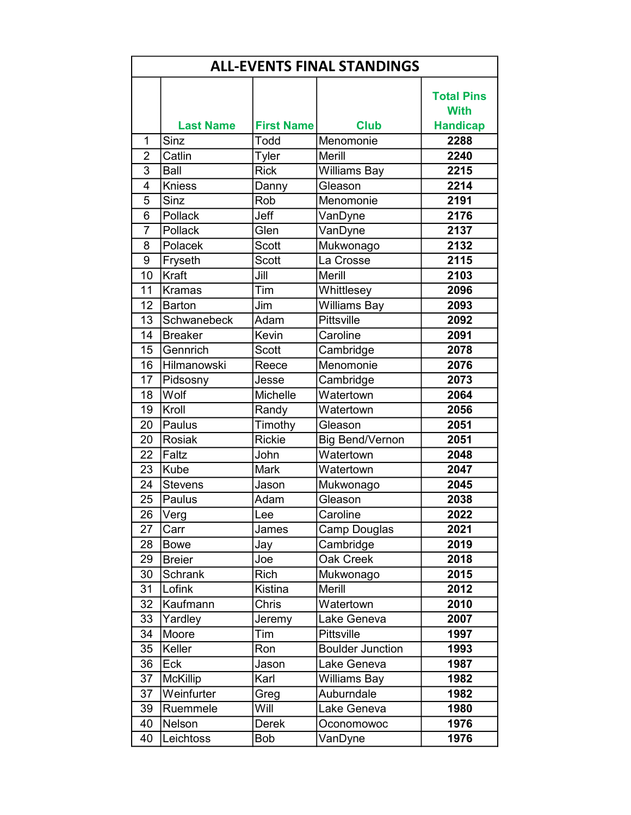| <b>ALL-EVENTS FINAL STANDINGS</b> |                  |                   |                         |                                  |
|-----------------------------------|------------------|-------------------|-------------------------|----------------------------------|
|                                   |                  |                   |                         | <b>Total Pins</b><br><b>With</b> |
|                                   | <b>Last Name</b> | <b>First Name</b> | <b>Club</b>             | <b>Handicap</b>                  |
| 1                                 | Sinz             | Todd              | Menomonie               | 2288                             |
| $\overline{2}$<br>$\overline{3}$  | Catlin<br>Ball   | Tyler             | <b>Merill</b>           | 2240<br>2215                     |
| 4                                 |                  | <b>Rick</b>       | <b>Williams Bay</b>     | 2214                             |
|                                   | <b>Kniess</b>    | Danny             | Gleason                 |                                  |
| 5<br>$\overline{6}$               | Sinz<br>Pollack  | Rob<br>Jeff       | Menomonie               | 2191                             |
|                                   |                  |                   | VanDyne                 | 2176                             |
| $\overline{7}$                    | Pollack          | Glen              | VanDyne                 | 2137                             |
| 8                                 | Polacek          | <b>Scott</b>      | Mukwonago               | 2132                             |
| 9                                 | Fryseth          | <b>Scott</b>      | La Crosse               | 2115                             |
| 10                                | Kraft            | Jill              | Merill                  | 2103                             |
| 11                                | <b>Kramas</b>    | Tim               | Whittlesey              | 2096                             |
| 12                                | <b>Barton</b>    | Jim               | Williams Bay            | 2093                             |
| 13                                | Schwanebeck      | Adam              | Pittsville              | 2092                             |
| 14                                | <b>Breaker</b>   | Kevin             | Caroline                | 2091                             |
| 15                                | Gennrich         | <b>Scott</b>      | Cambridge               | 2078                             |
| 16                                | Hilmanowski      | Reece             | Menomonie               | 2076                             |
| 17                                | Pidsosny         | Jesse             | Cambridge               | 2073                             |
| 18                                | Wolf             | <b>Michelle</b>   | Watertown               | 2064                             |
| 19                                | Kroll            | Randy             | Watertown               | 2056                             |
| 20                                | Paulus           | Timothy           | Gleason                 | 2051                             |
| 20                                | <b>Rosiak</b>    | <b>Rickie</b>     | <b>Big Bend/Vernon</b>  | 2051                             |
| 22                                | Faltz            | John              | Watertown               | 2048                             |
| 23                                | Kube             | <b>Mark</b>       | Watertown               | 2047                             |
| 24                                | <b>Stevens</b>   | Jason             | Mukwonago               | 2045                             |
| 25                                | Paulus           | Adam              | Gleason                 | 2038                             |
| 26                                | Verg             | Lee               | Caroline                | 2022                             |
| 27                                | Carr             | James             | Camp Douglas            | 2021                             |
| 28                                | <b>Bowe</b>      | Jay               | Cambridge               | 2019                             |
| 29                                | <b>Breier</b>    | Joe               | Oak Creek               | 2018                             |
| 30                                | <b>Schrank</b>   | Rich              | Mukwonago               | 2015                             |
| 31                                | Lofink           | Kistina           | Merill                  | 2012                             |
| 32                                | Kaufmann         | Chris             | Watertown               | 2010                             |
| 33                                | Yardley          | Jeremy            | Lake Geneva             | 2007                             |
| 34                                | Moore            | Tim               | <b>Pittsville</b>       | 1997                             |
| 35                                | Keller           | Ron               | <b>Boulder Junction</b> | 1993                             |
| 36                                | Eck              | Jason             | Lake Geneva             | 1987                             |
| 37                                | <b>McKillip</b>  | Karl              | <b>Williams Bay</b>     | 1982                             |
| 37                                | Weinfurter       | Greg              | Auburndale              | 1982                             |
| 39                                | Ruemmele         | Will              | Lake Geneva             | 1980                             |
| 40                                | Nelson           | <b>Derek</b>      | Oconomowoc              | 1976                             |
| 40                                | Leichtoss        | <b>Bob</b>        | VanDyne                 | 1976                             |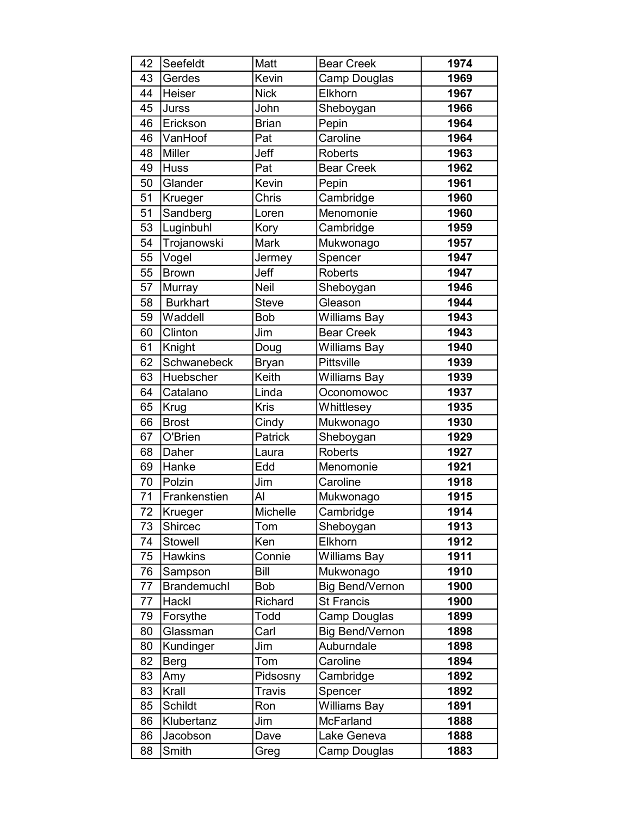| 42 | Seefeldt           | Matt         | <b>Bear Creek</b>      | 1974 |
|----|--------------------|--------------|------------------------|------|
| 43 | Gerdes             | Kevin        | Camp Douglas           | 1969 |
| 44 | Heiser             | <b>Nick</b>  | Elkhorn                | 1967 |
| 45 | Jurss              | John         | Sheboygan              | 1966 |
| 46 | Erickson           | <b>Brian</b> | Pepin                  | 1964 |
| 46 | VanHoof            | Pat          | Caroline               | 1964 |
| 48 | Miller             | Jeff         | <b>Roberts</b>         | 1963 |
| 49 | <b>Huss</b>        | Pat          | <b>Bear Creek</b>      | 1962 |
| 50 | Glander            | Kevin        | Pepin                  | 1961 |
| 51 | Krueger            | Chris        | Cambridge              | 1960 |
| 51 | Sandberg           | Loren        | Menomonie              | 1960 |
| 53 | Luginbuhl          | Kory         | Cambridge              | 1959 |
| 54 | Trojanowski        | Mark         | Mukwonago              | 1957 |
| 55 | Vogel              | Jermey       | Spencer                | 1947 |
| 55 | <b>Brown</b>       | Jeff         | <b>Roberts</b>         | 1947 |
| 57 | Murray             | <b>Neil</b>  | Sheboygan              | 1946 |
| 58 | <b>Burkhart</b>    | <b>Steve</b> | Gleason                | 1944 |
| 59 | Waddell            | <b>Bob</b>   | <b>Williams Bay</b>    | 1943 |
| 60 | Clinton            | Jim          | <b>Bear Creek</b>      | 1943 |
| 61 | Knight             | Doug         | <b>Williams Bay</b>    | 1940 |
| 62 | Schwanebeck        | <b>Bryan</b> | <b>Pittsville</b>      | 1939 |
| 63 | Huebscher          | Keith        | Williams Bay           | 1939 |
| 64 | Catalano           | Linda        | Oconomowoc             | 1937 |
| 65 | Krug               | Kris         | Whittlesey             | 1935 |
| 66 | <b>Brost</b>       | Cindy        | Mukwonago              | 1930 |
| 67 | O'Brien            | Patrick      | Sheboygan              | 1929 |
| 68 | Daher              | Laura        | <b>Roberts</b>         | 1927 |
| 69 | Hanke              | Edd          | Menomonie              | 1921 |
| 70 | Polzin             | Jim          | Caroline               | 1918 |
| 71 | Frankenstien       | Al           | Mukwonago              | 1915 |
| 72 | Krueger            | Michelle     | Cambridge              | 1914 |
| 73 | Shircec            | Tom          | Sheboygan              | 1913 |
| 74 | <b>Stowell</b>     | Ken          | Elkhorn                | 1912 |
| 75 | <b>Hawkins</b>     | Connie       | <b>Williams Bay</b>    | 1911 |
| 76 | Sampson            | Bill         | Mukwonago              | 1910 |
| 77 | <b>Brandemuchl</b> | Bob          | <b>Big Bend/Vernon</b> | 1900 |
| 77 | Hackl              | Richard      | <b>St Francis</b>      | 1900 |
| 79 | Forsythe           | Todd         | Camp Douglas           | 1899 |
| 80 | Glassman           | Carl         | <b>Big Bend/Vernon</b> | 1898 |
| 80 | Kundinger          | Jim          | Auburndale             | 1898 |
| 82 | <b>Berg</b>        | Tom          | Caroline               | 1894 |
| 83 | Amy                | Pidsosny     | Cambridge              | 1892 |
| 83 | Krall              | Travis       | Spencer                | 1892 |
| 85 | Schildt            | Ron          | <b>Williams Bay</b>    | 1891 |
| 86 | Klubertanz         | Jim          | <b>McFarland</b>       | 1888 |
| 86 | Jacobson           | Dave         | Lake Geneva            | 1888 |
| 88 | Smith              | Greg         | Camp Douglas           | 1883 |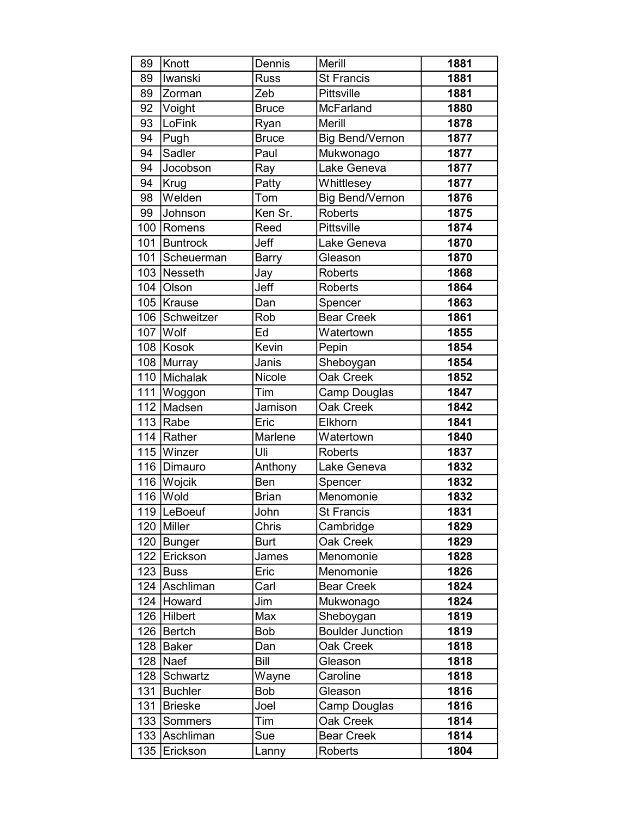| 89  | Knott            | Dennis       | Merill                  | 1881 |
|-----|------------------|--------------|-------------------------|------|
| 89  | Iwanski          | <b>Russ</b>  | <b>St Francis</b>       | 1881 |
| 89  | Zorman           | Zeb          | Pittsville              | 1881 |
| 92  | Voight           | <b>Bruce</b> | McFarland               | 1880 |
| 93  | LoFink           | Ryan         | Merill                  | 1878 |
| 94  | Pugh             | <b>Bruce</b> | <b>Big Bend/Vernon</b>  | 1877 |
| 94  | Sadler           | Paul         | Mukwonago               | 1877 |
| 94  | Jocobson         | Ray          | Lake Geneva             | 1877 |
| 94  | Krug             | Patty        | Whittlesey              | 1877 |
| 98  | Welden           | Tom          | <b>Big Bend/Vernon</b>  | 1876 |
| 99  | Johnson          | Ken Sr.      | <b>Roberts</b>          | 1875 |
|     | 100 Romens       | Reed         | Pittsville              | 1874 |
| 101 | Buntrock         | Jeff         | Lake Geneva             | 1870 |
| 101 | Scheuerman       | <b>Barry</b> | Gleason                 | 1870 |
|     | 103 Nesseth      | Jay          | <b>Roberts</b>          | 1868 |
|     | 104 Olson        | Jeff         | <b>Roberts</b>          | 1864 |
|     | 105   Krause     | Dan          | Spencer                 | 1863 |
|     | 106 Schweitzer   | Rob          | <b>Bear Creek</b>       | 1861 |
|     | 107 Wolf         | Ed           | Watertown               | 1855 |
|     | 108 Kosok        | Kevin        | Pepin                   | 1854 |
|     | 108 Murray       | Janis        | Sheboygan               | 1854 |
|     | 110 Michalak     | Nicole       | Oak Creek               | 1852 |
| 111 | Woggon           | Tim          | Camp Douglas            | 1847 |
|     | 112 Madsen       | Jamison      | Oak Creek               | 1842 |
|     | 113 $\vert$ Rabe | Eric         | Elkhorn                 | 1841 |
|     | 114 Rather       | Marlene      | Watertown               | 1840 |
|     | 115 Winzer       | Uli          | <b>Roberts</b>          | 1837 |
|     | 116   Dimauro    | Anthony      | Lake Geneva             | 1832 |
|     | 116 Wojcik       | Ben          | Spencer                 | 1832 |
|     | $116$ Wold       | <b>Brian</b> | Menomonie               | 1832 |
|     | 119 LeBoeuf      | John         | St Francis              | 1831 |
|     | 120 Miller       | Chris        | Cambridge               | 1829 |
|     | 120   Bunger     | <b>Burt</b>  | Oak Creek               | 1829 |
|     | 122 Erickson     | James        | Menomonie               | 1828 |
|     | $123$ Buss       | Eric         | Menomonie               | 1826 |
|     | 124 Aschliman    | Carl         | <b>Bear Creek</b>       | 1824 |
|     | 124 Howard       | Jim          | Mukwonago               | 1824 |
|     | 126 Hilbert      | Max          | Sheboygan               | 1819 |
|     | 126 Bertch       | Bob          | <b>Boulder Junction</b> | 1819 |
|     | 128 Baker        | Dan          | Oak Creek               | 1818 |
|     | $128$ Naef       | Bill         | Gleason                 | 1818 |
|     | 128 Schwartz     | Wayne        | Caroline                | 1818 |
| 131 | Buchler          | <b>Bob</b>   | Gleason                 | 1816 |
| 131 | Brieske          | Joel         | Camp Douglas            | 1816 |
|     | 133 Sommers      | Tim          | Oak Creek               | 1814 |
|     | 133 Aschliman    | Sue          | <b>Bear Creek</b>       | 1814 |
|     | 135 Erickson     | Lanny        | <b>Roberts</b>          | 1804 |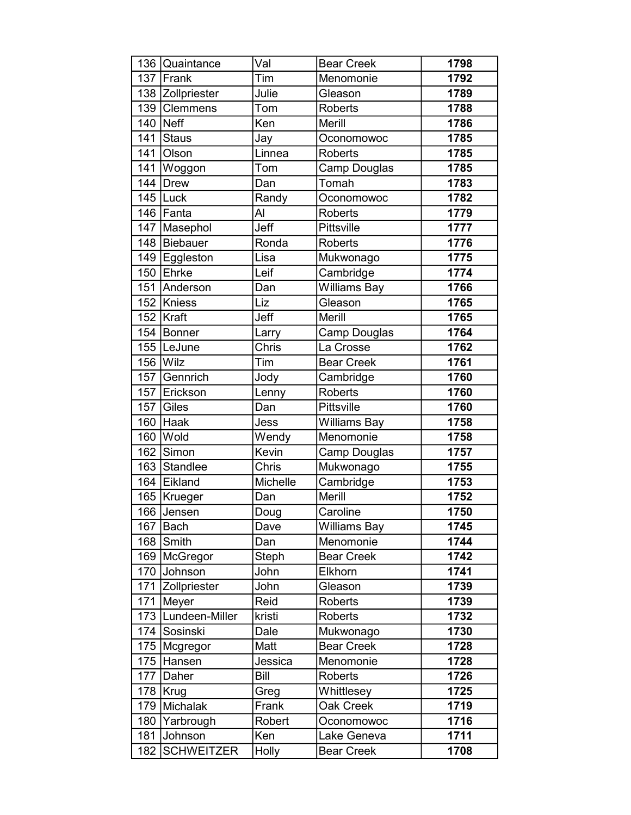|     | 136 Quaintance        | Val             | <b>Bear Creek</b>   | 1798 |
|-----|-----------------------|-----------------|---------------------|------|
|     | 137 Frank             | Tim             | Menomonie           | 1792 |
|     | 138 Zollpriester      | Julie           | Gleason             | 1789 |
|     | 139 Clemmens          | Tom             | <b>Roberts</b>      | 1788 |
| 140 | Neff                  | Ken             | <b>Merill</b>       | 1786 |
|     | 141 Staus             | Jay             | Oconomowoc          | 1785 |
| 141 | <b>O</b> lson         | Linnea          | <b>Roberts</b>      | 1785 |
| 141 | Woggon                | Tom             | Camp Douglas        | 1785 |
|     | $\overline{144}$ Drew | Dan             | Tomah               | 1783 |
|     | $145$ Luck            | Randy           | Oconomowoc          | 1782 |
|     | 146 Fanta             | Al              | <b>Roberts</b>      | 1779 |
|     | 147   Masephol        | Jeff            | Pittsville          | 1777 |
|     | 148   Biebauer        | Ronda           | <b>Roberts</b>      | 1776 |
|     | 149 Eggleston         | Lisa            | Mukwonago           | 1775 |
|     | 150 Ehrke             | Leif            | Cambridge           | 1774 |
|     | 151 Anderson          | Dan             | <b>Williams Bay</b> | 1766 |
|     | 152 Kniess            | Liz             | Gleason             | 1765 |
|     | 152   Kraft           | Jeff            | Merill              | 1765 |
|     | 154 Bonner            | Larry           | Camp Douglas        | 1764 |
|     | 155 LeJune            | Chris           | La Crosse           | 1762 |
|     | 156 $ W $             | Tim             | <b>Bear Creek</b>   | 1761 |
| 157 | Gennrich              | Jody            | Cambridge           | 1760 |
|     | 157 Erickson          | Lenny           | <b>Roberts</b>      | 1760 |
|     | 157 $\vert$ Giles     | Dan             | Pittsville          | 1760 |
| 160 | Haak                  | Jess            | <b>Williams Bay</b> | 1758 |
| 160 | <b>Wold</b>           | Wendy           | Menomonie           | 1758 |
| 162 | Simon                 | Kevin           | Camp Douglas        | 1757 |
|     | 163 Standlee          | Chris           | Mukwonago           | 1755 |
|     | 164 Eikland           | <b>Michelle</b> | Cambridge           | 1753 |
|     | 165   Krueger         | Dan             | Merill              | 1752 |
|     | 166 Jensen            | Doug            | Caroline            | 1750 |
| 167 | Bach                  | Dave            | <b>Williams Bay</b> | 1745 |
|     | 168 Smith             | Dan             | Menomonie           | 1744 |
| 169 | McGregor              | Steph           | <b>Bear Creek</b>   | 1742 |
|     | 170 Johnson           | John            | Elkhorn             | 1741 |
|     | 171 Zollpriester      | John            | Gleason             | 1739 |
|     | 171 Meyer             | Reid            | <b>Roberts</b>      | 1739 |
|     | 173   Lundeen-Miller  | kristi          | Roberts             | 1732 |
|     | 174 Sosinski          | Dale            | Mukwonago           | 1730 |
|     | 175   Mcgregor        | Matt            | <b>Bear Creek</b>   | 1728 |
|     | 175 Hansen            | Jessica         | Menomonie           | 1728 |
|     | 177 Daher             | Bill            | <b>Roberts</b>      | 1726 |
|     | 178   Krug            | Greg            | Whittlesey          | 1725 |
| 179 | Michalak              | Frank           | Oak Creek           | 1719 |
| 180 | Yarbrough             | Robert          | Oconomowoc          | 1716 |
| 181 | Johnson               | Ken             | Lake Geneva         | 1711 |
| 182 | <b>SCHWEITZER</b>     | Holly           | <b>Bear Creek</b>   | 1708 |